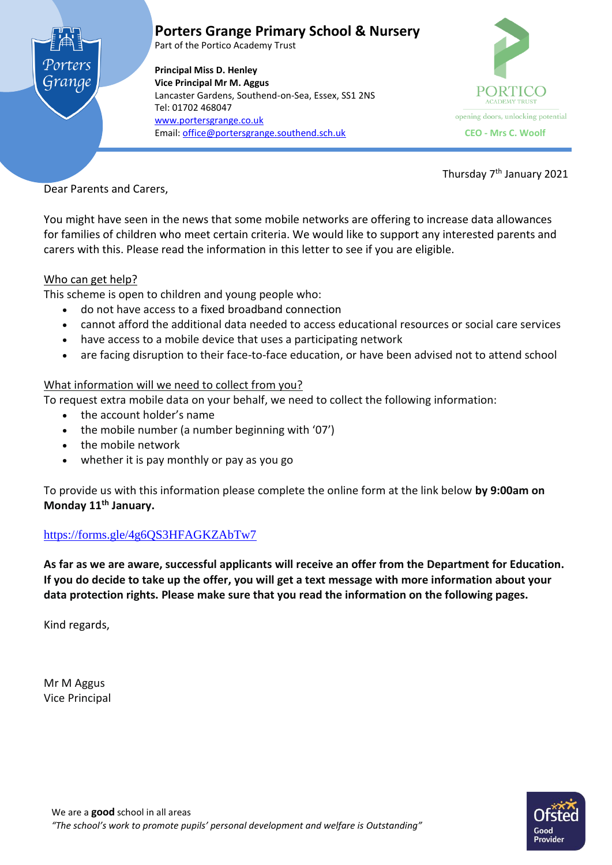



Thursday 7<sup>th</sup> January 2021

Dear Parents and Carers,

You might have seen in the news that some mobile networks are offering to increase data allowances for families of children who meet certain criteria. We would like to support any interested parents and carers with this. Please read the information in this letter to see if you are eligible.

## Who can get help?

This scheme is open to children and young people who:

- do not have access to a fixed broadband connection
- cannot afford the additional data needed to access educational resources or social care services
- have access to a mobile device that uses a participating network
- are facing disruption to their face-to-face education, or have been advised not to attend school

## What information will we need to collect from you?

To request extra mobile data on your behalf, we need to collect the following information:

- the account holder's name
- the mobile number (a number beginning with '07')
- the mobile network
- whether it is pay monthly or pay as you go

To provide us with this information please complete the online form at the link below **by 9:00am on Monday 11th January.**

## <https://forms.gle/4g6QS3HFAGKZAbTw7>

**As far as we are aware, successful applicants will receive an offer from the Department for Education. If you do decide to take up the offer, you will get a text message with more information about your data protection rights. Please make sure that you read the information on the following pages.**

Kind regards,

Mr M Aggus Vice Principal